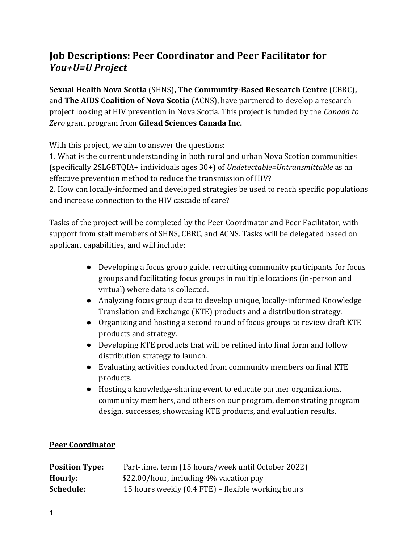# **Job Descriptions: Peer Coordinator and Peer Facilitator for**  *You+U=U Project*

**Sexual Health Nova Scotia** (SHNS)**, The Community-Based Research Centre** (CBRC)**,**  and **The AIDS Coalition of Nova Scotia** (ACNS), have partnered to develop a research project looking at HIV prevention in Nova Scotia. This project is funded by the *Canada to Zero* grant program from **Gilead Sciences Canada Inc.**

With this project, we aim to answer the questions:

1. What is the current understanding in both rural and urban Nova Scotian communities (specifically 2SLGBTQIA+ individuals ages 30+) of *Undetectable=Untransmittable* as an effective prevention method to reduce the transmission of HIV?

2. How can locally*-*informed and developed strategies be used to reach specific populations and increase connection to the HIV cascade of care?

Tasks of the project will be completed by the Peer Coordinator and Peer Facilitator, with support from staff members of SHNS, CBRC, and ACNS. Tasks will be delegated based on applicant capabilities, and will include:

- Developing a focus group guide, recruiting community participants for focus groups and facilitating focus groups in multiple locations (in-person and virtual) where data is collected.
- Analyzing focus group data to develop unique, locally-informed Knowledge Translation and Exchange (KTE) products and a distribution strategy.
- Organizing and hosting a second round of focus groups to review draft KTE products and strategy.
- Developing KTE products that will be refined into final form and follow distribution strategy to launch.
- Evaluating activities conducted from community members on final KTE products.
- Hosting a knowledge-sharing event to educate partner organizations, community members, and others on our program, demonstrating program design, successes, showcasing KTE products, and evaluation results.

### **Peer Coordinator**

| <b>Position Type:</b> | Part-time, term (15 hours/week until October 2022) |
|-----------------------|----------------------------------------------------|
| Hourly:               | \$22.00/hour, including 4% vacation pay            |
| Schedule:             | 15 hours weekly (0.4 FTE) – flexible working hours |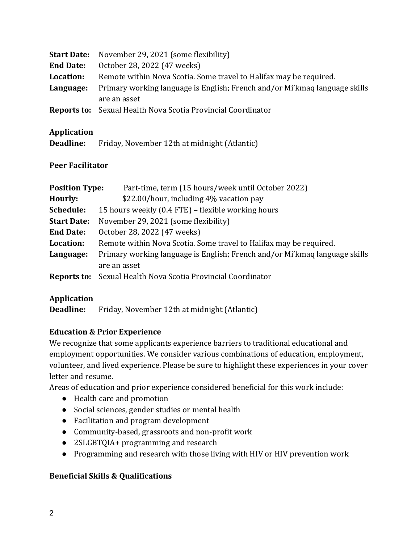| <b>Start Date:</b> | November 29, 2021 (some flexibility)                                       |
|--------------------|----------------------------------------------------------------------------|
| <b>End Date:</b>   | October 28, 2022 (47 weeks)                                                |
| Location:          | Remote within Nova Scotia. Some travel to Halifax may be required.         |
| Language:          | Primary working language is English; French and/or Mi'kmaq language skills |
|                    | are an asset                                                               |
|                    | <b>Reports to:</b> Sexual Health Nova Scotia Provincial Coordinator        |

#### **Application**

| Deadline: | Friday, November 12th at midnight (Atlantic) |
|-----------|----------------------------------------------|
|-----------|----------------------------------------------|

#### **Peer Facilitator**

| <b>Position Type:</b> | Part-time, term (15 hours/week until October 2022)                         |
|-----------------------|----------------------------------------------------------------------------|
| Hourly:               | \$22.00/hour, including 4% vacation pay                                    |
| Schedule:             | 15 hours weekly (0.4 FTE) – flexible working hours                         |
| <b>Start Date:</b>    | November 29, 2021 (some flexibility)                                       |
| <b>End Date:</b>      | October 28, 2022 (47 weeks)                                                |
| Location:             | Remote within Nova Scotia. Some travel to Halifax may be required.         |
| Language:             | Primary working language is English; French and/or Mi'kmaq language skills |
|                       | are an asset                                                               |
| Reports to:           | Sexual Health Nova Scotia Provincial Coordinator                           |

### **Application**

**Deadline:** Friday, November 12th at midnight (Atlantic)

### **Education & Prior Experience**

We recognize that some applicants experience barriers to traditional educational and employment opportunities. We consider various combinations of education, employment, volunteer, and lived experience. Please be sure to highlight these experiences in your cover letter and resume.

Areas of education and prior experience considered beneficial for this work include:

- Health care and promotion
- Social sciences, gender studies or mental health
- Facilitation and program development
- Community-based, grassroots and non-profit work
- 2SLGBTQIA+ programming and research
- Programming and research with those living with HIV or HIV prevention work

#### **Beneficial Skills & Qualifications**